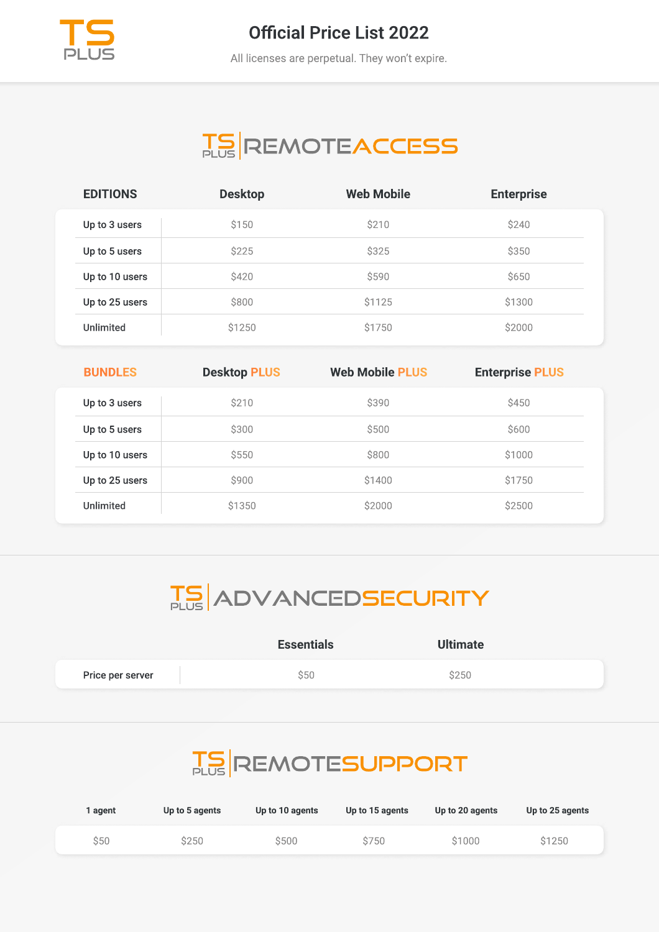

#### **Official Price List 2022**

All licenses are perpetual. They won't expire.

# **TS REMOTEACCESS**

| <b>EDITIONS</b>  | <b>Desktop</b> | <b>Web Mobile</b> | <b>Enterprise</b> |
|------------------|----------------|-------------------|-------------------|
| Up to 3 users    | \$150          | \$210             | \$240             |
| Up to 5 users    | \$225          | \$325             | \$350             |
| Up to 10 users   | \$420          | \$590             | <b>\$650</b>      |
| Up to 25 users   | \$800          | \$1125            | \$1300            |
| <b>Unlimited</b> | \$1250         | \$1750            | \$2000            |

| <b>BUNDLES</b>   | <b>Desktop PLUS</b> | <b>Web Mobile PLUS</b> | <b>Enterprise PLUS</b> |
|------------------|---------------------|------------------------|------------------------|
| Up to 3 users    | \$210               | \$390                  | <b>\$450</b>           |
| Up to 5 users    | \$300               | \$500                  | \$600                  |
| Up to 10 users   | \$550               | \$800                  | \$1000                 |
| Up to 25 users   | \$900               | \$1400                 | \$1750                 |
| <b>Unlimited</b> | \$1350              | \$2000                 | \$2500                 |

# **TS ADVANCEDSECURITY**

|                  | <b>Essentials</b> | <b>Ultimate</b> |  |
|------------------|-------------------|-----------------|--|
| Price per server | Ś50               | \$250           |  |

## **TS REMOTESUPPORT**

| agent | Up to 5 agents | Up to 10 agents | Up to 15 agents | Up to 20 agents | Up to 25 agents |
|-------|----------------|-----------------|-----------------|-----------------|-----------------|
| S50   | S250           | \$500           | S750            | \$1000          | \$1250          |